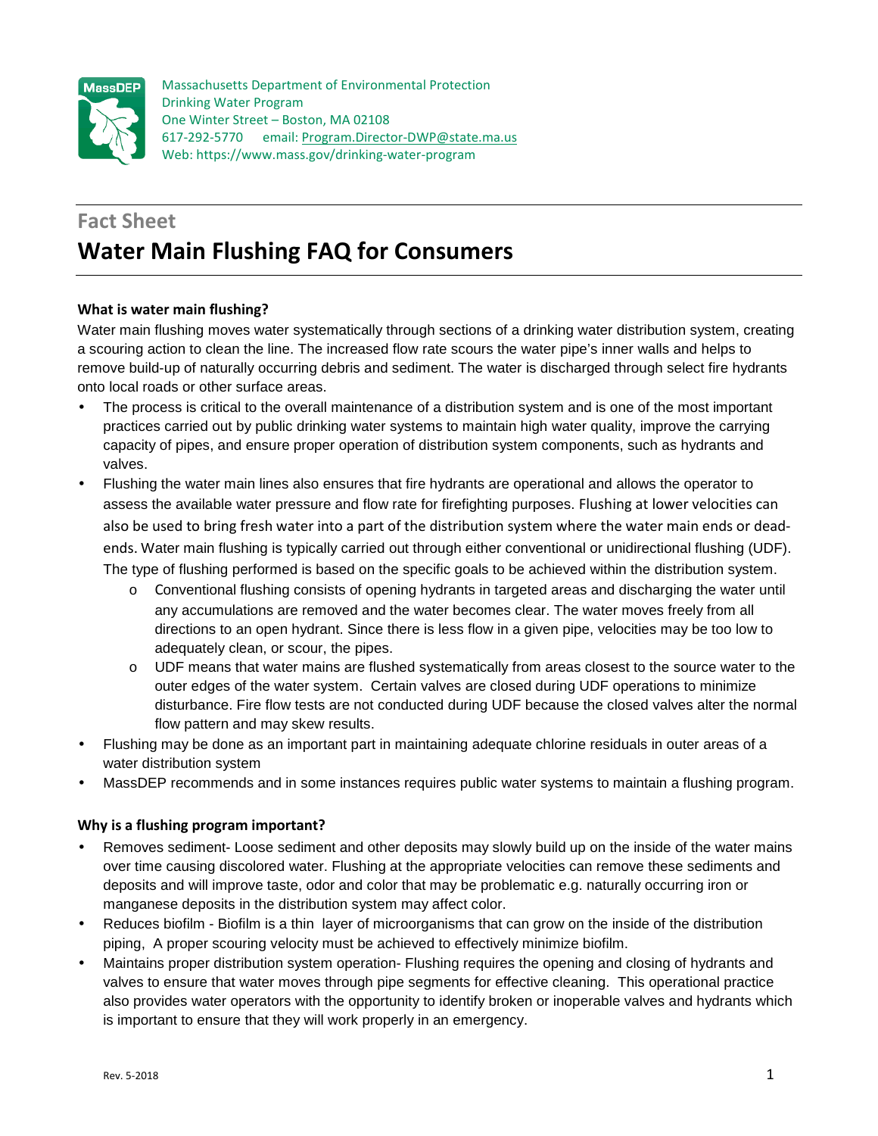

Massachusetts Department of Environmental Protection Drinking Water Program One Winter Street – Boston, MA 02108 617-292-5770 email: Program.Director-DWP@state.ma.us Web: https://www.mass.gov/drinking-water-program

# **Fact Sheet Water Main Flushing FAQ for Consumers**

## **What is water main flushing?**

Water main flushing moves water systematically through sections of a drinking water distribution system, creating a scouring action to clean the line. The increased flow rate scours the water pipe's inner walls and helps to remove build-up of naturally occurring debris and sediment. The water is discharged through select fire hydrants onto local roads or other surface areas.

- The process is critical to the overall maintenance of a distribution system and is one of the most important practices carried out by public drinking water systems to maintain high water quality, improve the carrying capacity of pipes, and ensure proper operation of distribution system components, such as hydrants and valves.
- Flushing the water main lines also ensures that fire hydrants are operational and allows the operator to assess the available water pressure and flow rate for firefighting purposes. Flushing at lower velocities can also be used to bring fresh water into a part of the distribution system where the water main ends or deadends. Water main flushing is typically carried out through either conventional or unidirectional flushing (UDF). The type of flushing performed is based on the specific goals to be achieved within the distribution system.
	- o Conventional flushing consists of opening hydrants in targeted areas and discharging the water until any accumulations are removed and the water becomes clear. The water moves freely from all directions to an open hydrant. Since there is less flow in a given pipe, velocities may be too low to adequately clean, or scour, the pipes.
	- $\circ$  UDF means that water mains are flushed systematically from areas closest to the source water to the outer edges of the water system. Certain valves are closed during UDF operations to minimize disturbance. Fire flow tests are not conducted during UDF because the closed valves alter the normal flow pattern and may skew results.
- Flushing may be done as an important part in maintaining adequate chlorine residuals in outer areas of a water distribution system
- MassDEP recommends and in some instances requires public water systems to maintain a flushing program.

# **Why is a flushing program important?**

- Removes sediment- Loose sediment and other deposits may slowly build up on the inside of the water mains over time causing discolored water. Flushing at the appropriate velocities can remove these sediments and deposits and will improve taste, odor and color that may be problematic e.g. naturally occurring iron or manganese deposits in the distribution system may affect color.
- Reduces biofilm Biofilm is a thin layer of microorganisms that can grow on the inside of the distribution piping, A proper scouring velocity must be achieved to effectively minimize biofilm.
- Maintains proper distribution system operation- Flushing requires the opening and closing of hydrants and valves to ensure that water moves through pipe segments for effective cleaning. This operational practice also provides water operators with the opportunity to identify broken or inoperable valves and hydrants which is important to ensure that they will work properly in an emergency.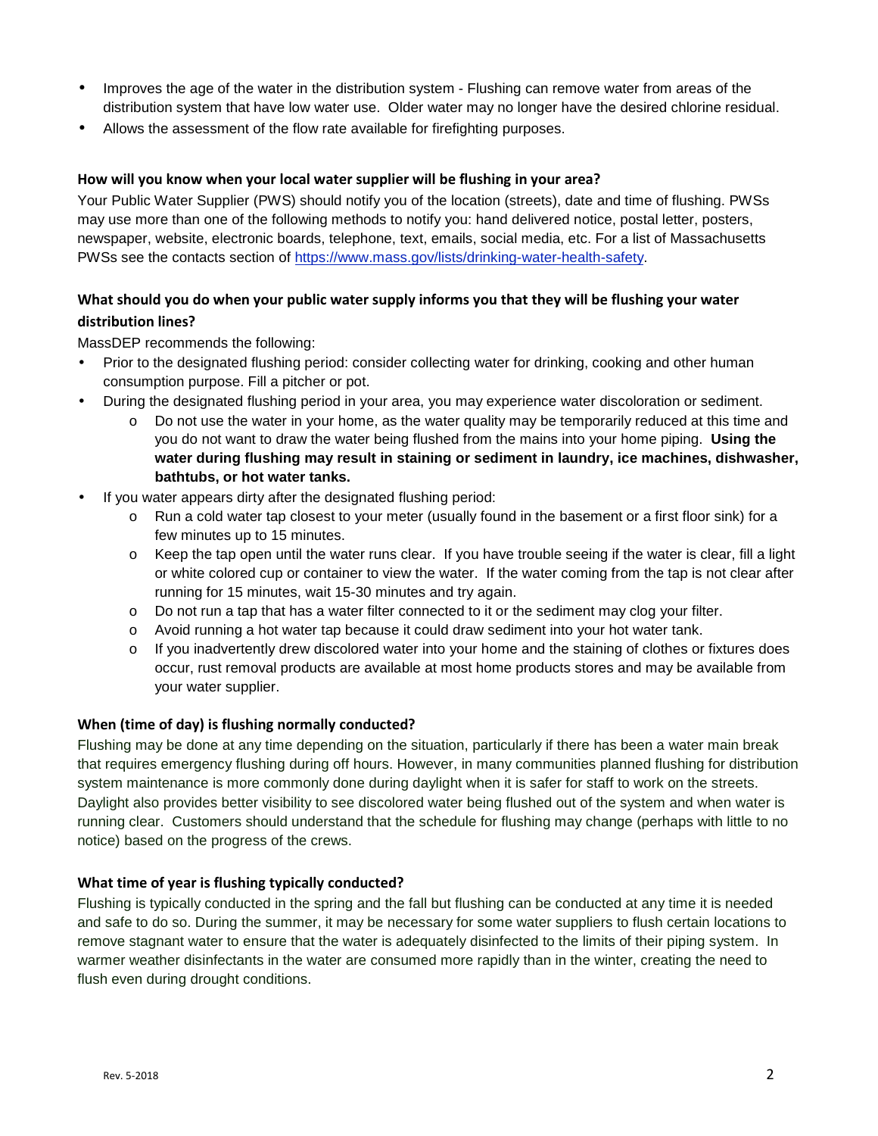- Improves the age of the water in the distribution system Flushing can remove water from areas of the distribution system that have low water use. Older water may no longer have the desired chlorine residual.
- Allows the assessment of the flow rate available for firefighting purposes.

## **How will you know when your local water supplier will be flushing in your area?**

Your Public Water Supplier (PWS) should notify you of the location (streets), date and time of flushing. PWSs may use more than one of the following methods to notify you: hand delivered notice, postal letter, posters, newspaper, website, electronic boards, telephone, text, emails, social media, etc. For a list of Massachusetts PWSs see the contacts section of https://www.mass.gov/lists/drinking-water-health-safety.

# **What should you do when your public water supply informs you that they will be flushing your water distribution lines?**

MassDEP recommends the following:

- Prior to the designated flushing period: consider collecting water for drinking, cooking and other human consumption purpose. Fill a pitcher or pot.
- During the designated flushing period in your area, you may experience water discoloration or sediment.
	- o Do not use the water in your home, as the water quality may be temporarily reduced at this time and you do not want to draw the water being flushed from the mains into your home piping. **Using the water during flushing may result in staining or sediment in laundry, ice machines, dishwasher, bathtubs, or hot water tanks.**
- If you water appears dirty after the designated flushing period:
	- o Run a cold water tap closest to your meter (usually found in the basement or a first floor sink) for a few minutes up to 15 minutes.
	- o Keep the tap open until the water runs clear. If you have trouble seeing if the water is clear, fill a light or white colored cup or container to view the water. If the water coming from the tap is not clear after running for 15 minutes, wait 15-30 minutes and try again.
	- $\circ$  Do not run a tap that has a water filter connected to it or the sediment may clog your filter.
	- o Avoid running a hot water tap because it could draw sediment into your hot water tank.
	- $\circ$  If you inadvertently drew discolored water into your home and the staining of clothes or fixtures does occur, rust removal products are available at most home products stores and may be available from your water supplier.

## **When (time of day) is flushing normally conducted?**

Flushing may be done at any time depending on the situation, particularly if there has been a water main break that requires emergency flushing during off hours. However, in many communities planned flushing for distribution system maintenance is more commonly done during daylight when it is safer for staff to work on the streets. Daylight also provides better visibility to see discolored water being flushed out of the system and when water is running clear. Customers should understand that the schedule for flushing may change (perhaps with little to no notice) based on the progress of the crews.

#### **What time of year is flushing typically conducted?**

Flushing is typically conducted in the spring and the fall but flushing can be conducted at any time it is needed and safe to do so. During the summer, it may be necessary for some water suppliers to flush certain locations to remove stagnant water to ensure that the water is adequately disinfected to the limits of their piping system. In warmer weather disinfectants in the water are consumed more rapidly than in the winter, creating the need to flush even during drought conditions.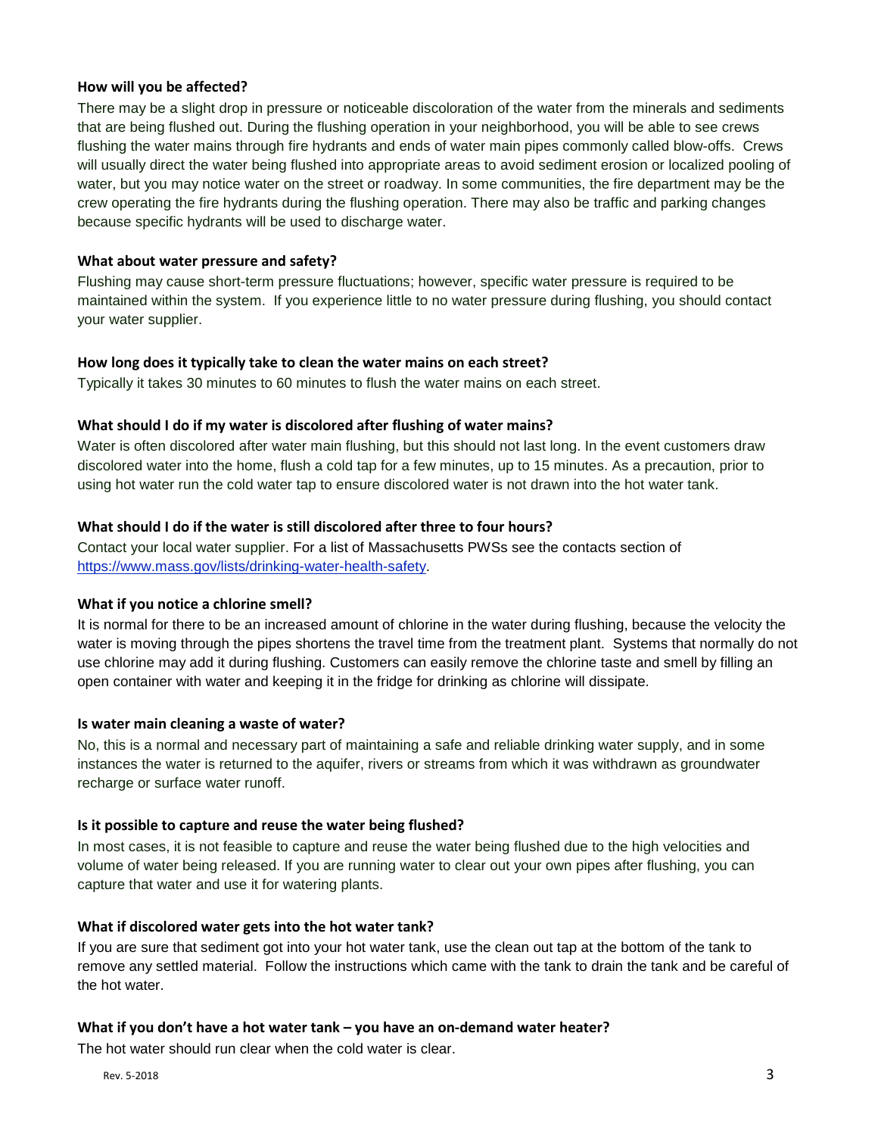## **How will you be affected?**

There may be a slight drop in pressure or noticeable discoloration of the water from the minerals and sediments that are being flushed out. During the flushing operation in your neighborhood, you will be able to see crews flushing the water mains through fire hydrants and ends of water main pipes commonly called blow-offs. Crews will usually direct the water being flushed into appropriate areas to avoid sediment erosion or localized pooling of water, but you may notice water on the street or roadway. In some communities, the fire department may be the crew operating the fire hydrants during the flushing operation. There may also be traffic and parking changes because specific hydrants will be used to discharge water.

## **What about water pressure and safety?**

Flushing may cause short-term pressure fluctuations; however, specific water pressure is required to be maintained within the system. If you experience little to no water pressure during flushing, you should contact your water supplier.

## **How long does it typically take to clean the water mains on each street?**

Typically it takes 30 minutes to 60 minutes to flush the water mains on each street.

## **What should I do if my water is discolored after flushing of water mains?**

Water is often discolored after water main flushing, but this should not last long. In the event customers draw discolored water into the home, flush a cold tap for a few minutes, up to 15 minutes. As a precaution, prior to using hot water run the cold water tap to ensure discolored water is not drawn into the hot water tank.

## **What should I do if the water is still discolored after three to four hours?**

Contact your local water supplier. For a list of Massachusetts PWSs see the contacts section of https://www.mass.gov/lists/drinking-water-health-safety.

## **What if you notice a chlorine smell?**

It is normal for there to be an increased amount of chlorine in the water during flushing, because the velocity the water is moving through the pipes shortens the travel time from the treatment plant. Systems that normally do not use chlorine may add it during flushing. Customers can easily remove the chlorine taste and smell by filling an open container with water and keeping it in the fridge for drinking as chlorine will dissipate.

#### **Is water main cleaning a waste of water?**

No, this is a normal and necessary part of maintaining a safe and reliable drinking water supply, and in some instances the water is returned to the aquifer, rivers or streams from which it was withdrawn as groundwater recharge or surface water runoff.

#### **Is it possible to capture and reuse the water being flushed?**

In most cases, it is not feasible to capture and reuse the water being flushed due to the high velocities and volume of water being released. If you are running water to clear out your own pipes after flushing, you can capture that water and use it for watering plants.

## **What if discolored water gets into the hot water tank?**

If you are sure that sediment got into your hot water tank, use the clean out tap at the bottom of the tank to remove any settled material. Follow the instructions which came with the tank to drain the tank and be careful of the hot water.

#### **What if you don't have a hot water tank – you have an on-demand water heater?**

The hot water should run clear when the cold water is clear.